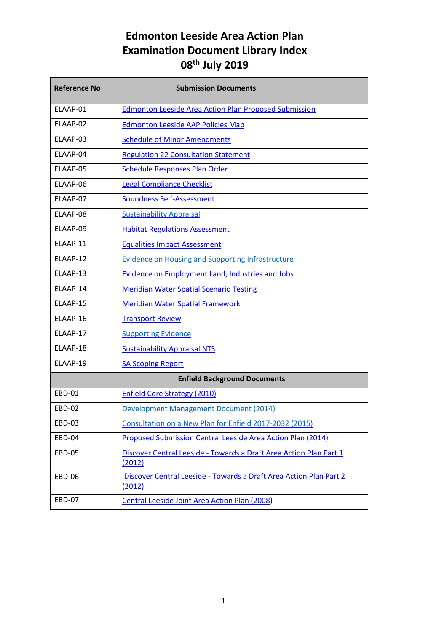| <b>Reference No</b> | <b>Submission Documents</b>                                                  |
|---------------------|------------------------------------------------------------------------------|
| ELAAP-01            | <b>Edmonton Leeside Area Action Plan Proposed Submission</b>                 |
| ELAAP-02            | <b>Edmonton Leeside AAP Policies Map</b>                                     |
| ELAAP-03            | <b>Schedule of Minor Amendments</b>                                          |
| ELAAP-04            | <b>Regulation 22 Consultation Statement</b>                                  |
| ELAAP-05            | <b>Schedule Responses Plan Order</b>                                         |
| FLAAP-06            | <b>Legal Compliance Checklist</b>                                            |
| ELAAP-07            | <b>Soundness Self-Assessment</b>                                             |
| ELAAP-08            | <b>Sustainability Appraisal</b>                                              |
| ELAAP-09            | <b>Habitat Regulations Assessment</b>                                        |
| ELAAP-11            | <b>Equalities Impact Assessment</b>                                          |
| ELAAP-12            | <b>Evidence on Housing and Supporting Infrastructure</b>                     |
| ELAAP-13            | <b>Evidence on Employment Land, Industries and Jobs</b>                      |
| ELAAP-14            | <b>Meridian Water Spatial Scenario Testing</b>                               |
| ELAAP-15            | <b>Meridian Water Spatial Framework</b>                                      |
| ELAAP-16            | <b>Transport Review</b>                                                      |
| ELAAP-17            | <b>Supporting Evidence</b>                                                   |
| ELAAP-18            | <b>Sustainability Appraisal NTS</b>                                          |
| ELAAP-19            | <b>SA Scoping Report</b>                                                     |
|                     | <b>Enfield Background Documents</b>                                          |
| <b>EBD-01</b>       | <b>Enfield Core Strategy (2010)</b>                                          |
| <b>EBD-02</b>       | <b>Development Management Document (2014)</b>                                |
| <b>EBD-03</b>       | Consultation on a New Plan for Enfield 2017-2032 (2015)                      |
| <b>EBD-04</b>       | Proposed Submission Central Leeside Area Action Plan (2014)                  |
| <b>EBD-05</b>       | Discover Central Leeside - Towards a Draft Area Action Plan Part 1<br>(2012) |
| <b>EBD-06</b>       | Discover Central Leeside - Towards a Draft Area Action Plan Part 2<br>(2012) |
| <b>EBD-07</b>       | Central Leeside Joint Area Action Plan (2008)                                |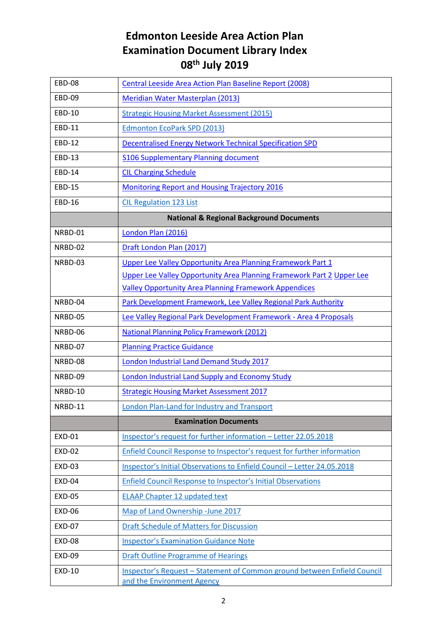| <b>EBD-08</b> | Central Leeside Area Action Plan Baseline Report (2008)                                                |
|---------------|--------------------------------------------------------------------------------------------------------|
| <b>EBD-09</b> | Meridian Water Masterplan (2013)                                                                       |
| <b>EBD-10</b> | <b>Strategic Housing Market Assessment (2015)</b>                                                      |
| EBD-11        | <b>Edmonton EcoPark SPD (2013)</b>                                                                     |
| <b>EBD-12</b> | <b>Decentralised Energy Network Technical Specification SPD</b>                                        |
| <b>EBD-13</b> | S106 Supplementary Planning document                                                                   |
| <b>EBD-14</b> | <b>CIL Charging Schedule</b>                                                                           |
| <b>EBD-15</b> | <b>Monitoring Report and Housing Trajectory 2016</b>                                                   |
| <b>EBD-16</b> | <b>CIL Regulation 123 List</b>                                                                         |
|               | <b>National &amp; Regional Background Documents</b>                                                    |
| NRBD-01       | London Plan (2016)                                                                                     |
| NRBD-02       | Draft London Plan (2017)                                                                               |
| NRBD-03       | Upper Lee Valley Opportunity Area Planning Framework Part 1                                            |
|               | Upper Lee Valley Opportunity Area Planning Framework Part 2 Upper Lee                                  |
|               | <b>Valley Opportunity Area Planning Framework Appendices</b>                                           |
| NRBD-04       | Park Development Framework, Lee Valley Regional Park Authority                                         |
| NRBD-05       | Lee Valley Regional Park Development Framework - Area 4 Proposals                                      |
| NRBD-06       | <b>National Planning Policy Framework (2012)</b>                                                       |
| NRBD-07       | <b>Planning Practice Guidance</b>                                                                      |
| NRBD-08       | <b>London Industrial Land Demand Study 2017</b>                                                        |
| NRBD-09       | <b>London Industrial Land Supply and Economy Study</b>                                                 |
| NRBD-10       | <b>Strategic Housing Market Assessment 2017</b>                                                        |
| NRBD-11       | London Plan-Land for Industry and Transport                                                            |
|               | <b>Examination Documents</b>                                                                           |
| <b>EXD-01</b> | Inspector's request for further information - Letter 22.05.2018                                        |
| <b>EXD-02</b> | Enfield Council Response to Inspector's request for further information                                |
| <b>EXD-03</b> | Inspector's Initial Observations to Enfield Council - Letter 24.05.2018                                |
| <b>EXD-04</b> | <b>Enfield Council Response to Inspector's Initial Observations</b>                                    |
| <b>EXD-05</b> | <b>ELAAP Chapter 12 updated text</b>                                                                   |
| <b>EXD-06</b> | Map of Land Ownership -June 2017                                                                       |
| <b>EXD-07</b> | <b>Draft Schedule of Matters for Discussion</b>                                                        |
| <b>EXD-08</b> | <b>Inspector's Examination Guidance Note</b>                                                           |
| <b>EXD-09</b> | <b>Draft Outline Programme of Hearings</b>                                                             |
| <b>EXD-10</b> | Inspector's Request - Statement of Common ground between Enfield Council<br>and the Environment Agency |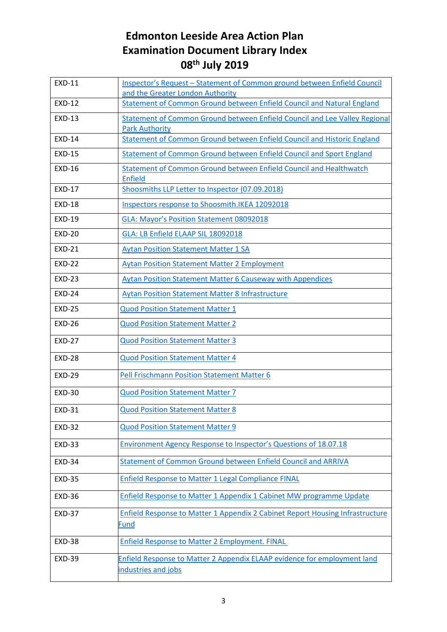| <b>EXD-11</b> | Inspector's Request - Statement of Common ground between Enfield Council<br>and the Greater London Authority |
|---------------|--------------------------------------------------------------------------------------------------------------|
| <b>EXD-12</b> | Statement of Common Ground between Enfield Council and Natural England                                       |
| <b>EXD-13</b> | Statement of Common Ground between Enfield Council and Lee Valley Regional<br><b>Park Authority</b>          |
| <b>EXD-14</b> | Statement of Common Ground between Enfield Council and Historic England                                      |
| <b>EXD-15</b> | Statement of Common Ground between Enfield Council and Sport England                                         |
| <b>EXD-16</b> | Statement of Common Ground between Enfield Council and Healthwatch<br><b>Enfield</b>                         |
| <b>EXD-17</b> | Shoosmiths LLP Letter to Inspector (07.09.2018)                                                              |
| <b>EXD-18</b> | Inspectors response to Shoosmith. IKEA 12092018                                                              |
| <b>EXD-19</b> | GLA: Mayor's Position Statement 08092018                                                                     |
| <b>EXD-20</b> | GLA: LB Enfield ELAAP SIL 18092018                                                                           |
| <b>EXD-21</b> | <b>Aytan Position Statement Matter 1 SA</b>                                                                  |
| <b>EXD-22</b> | <b>Aytan Position Statement Matter 2 Employment</b>                                                          |
| <b>EXD-23</b> | <b>Aytan Position Statement Matter 6 Causeway with Appendices</b>                                            |
| <b>EXD-24</b> | <b>Aytan Position Statement Matter 8 Infrastructure</b>                                                      |
| <b>EXD-25</b> | <b>Quod Position Statement Matter 1</b>                                                                      |
| <b>EXD-26</b> | <b>Quod Position Statement Matter 2</b>                                                                      |
| <b>EXD-27</b> | <b>Quod Position Statement Matter 3</b>                                                                      |
| <b>EXD-28</b> | <b>Quod Position Statement Matter 4</b>                                                                      |
| <b>EXD-29</b> | Pell Frischmann Position Statement Matter 6                                                                  |
| <b>EXD-30</b> | <b>Quod Position Statement Matter 7</b>                                                                      |
| <b>EXD-31</b> | <b>Quod Position Statement Matter 8</b>                                                                      |
| <b>EXD-32</b> | <b>Quod Position Statement Matter 9</b>                                                                      |
| <b>EXD-33</b> | <b>Environment Agency Response to Inspector's Questions of 18.07.18</b>                                      |
| <b>EXD-34</b> | Statement of Common Ground between Enfield Council and ARRIVA                                                |
| <b>EXD-35</b> | Enfield Response to Matter 1 Legal Compliance FINAL                                                          |
| <b>EXD-36</b> | Enfield Response to Matter 1 Appendix 1 Cabinet MW programme Update                                          |
| <b>EXD-37</b> | Enfield Response to Matter 1 Appendix 2 Cabinet Report Housing Infrastructure<br>Fund                        |
| <b>EXD-38</b> | <b>Enfield Response to Matter 2 Employment. FINAL</b>                                                        |
| <b>EXD-39</b> | Enfield Response to Matter 2 Appendix ELAAP evidence for employment land<br>industries and jobs              |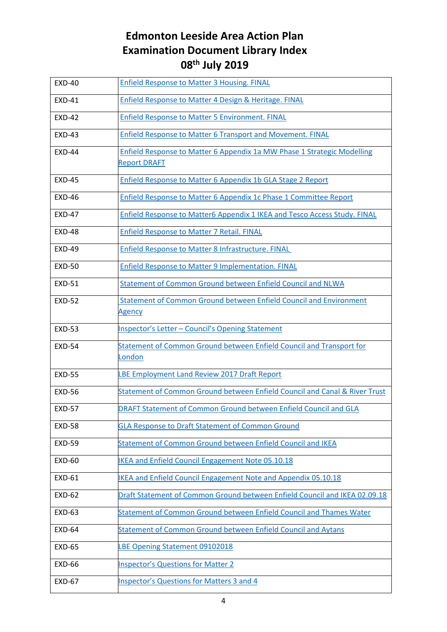| <b>EXD-40</b> | <b>Enfield Response to Matter 3 Housing. FINAL</b>                                             |
|---------------|------------------------------------------------------------------------------------------------|
| <b>EXD-41</b> | Enfield Response to Matter 4 Design & Heritage. FINAL                                          |
| <b>EXD-42</b> | <b>Enfield Response to Matter 5 Environment. FINAL</b>                                         |
| <b>EXD-43</b> | Enfield Response to Matter 6 Transport and Movement. FINAL                                     |
| <b>EXD-44</b> | Enfield Response to Matter 6 Appendix 1a MW Phase 1 Strategic Modelling<br><b>Report DRAFT</b> |
| <b>EXD-45</b> | Enfield Response to Matter 6 Appendix 1b GLA Stage 2 Report                                    |
| <b>EXD-46</b> | Enfield Response to Matter 6 Appendix 1c Phase 1 Committee Report                              |
| <b>EXD-47</b> | Enfield Response to Matter6 Appendix 1 IKEA and Tesco Access Study. FINAL                      |
| <b>EXD-48</b> | <b>Enfield Response to Matter 7 Retail. FINAL</b>                                              |
| <b>EXD-49</b> | Enfield Response to Matter 8 Infrastructure. FINAL                                             |
| <b>EXD-50</b> | Enfield Response to Matter 9 Implementation. FINAL                                             |
| <b>EXD-51</b> | Statement of Common Ground between Enfield Council and NLWA                                    |
| <b>EXD-52</b> | Statement of Common Ground between Enfield Council and Environment<br>Agency                   |
| <b>EXD-53</b> | Inspector's Letter - Council's Opening Statement                                               |
| <b>EXD-54</b> | Statement of Common Ground between Enfield Council and Transport for<br>London                 |
| <b>EXD-55</b> | LBE Employment Land Review 2017 Draft Report                                                   |
| <b>EXD-56</b> | Statement of Common Ground between Enfield Council and Canal & River Trust                     |
| <b>EXD-57</b> | DRAFT Statement of Common Ground between Enfield Council and GLA                               |
| <b>EXD-58</b> | <b>GLA Response to Draft Statement of Common Ground</b>                                        |
| <b>EXD-59</b> | Statement of Common Ground between Enfield Council and IKEA                                    |
| <b>EXD-60</b> | IKEA and Enfield Council Engagement Note 05.10.18                                              |
| <b>EXD-61</b> | IKEA and Enfield Council Engagement Note and Appendix 05.10.18                                 |
| <b>EXD-62</b> | Draft Statement of Common Ground between Enfield Council and IKEA 02.09.18                     |
| <b>EXD-63</b> | Statement of Common Ground between Enfield Council and Thames Water                            |
| <b>EXD-64</b> | Statement of Common Ground between Enfield Council and Aytans                                  |
| <b>EXD-65</b> | LBE Opening Statement 09102018                                                                 |
| <b>EXD-66</b> | <b>Inspector's Questions for Matter 2</b>                                                      |
| <b>EXD-67</b> | <b>Inspector's Questions for Matters 3 and 4</b>                                               |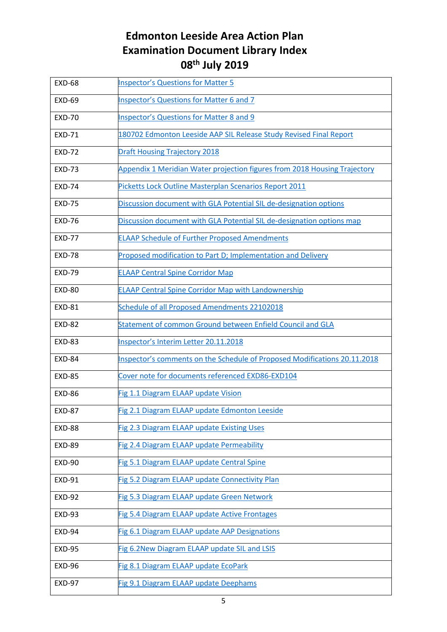| <b>EXD-68</b> | <b>Inspector's Questions for Matter 5</b>                                 |
|---------------|---------------------------------------------------------------------------|
| <b>EXD-69</b> | <b>Inspector's Questions for Matter 6 and 7</b>                           |
| <b>EXD-70</b> | <b>Inspector's Questions for Matter 8 and 9</b>                           |
| <b>EXD-71</b> | 180702 Edmonton Leeside AAP SIL Release Study Revised Final Report        |
| <b>EXD-72</b> | <b>Draft Housing Trajectory 2018</b>                                      |
| <b>EXD-73</b> | Appendix 1 Meridian Water projection figures from 2018 Housing Trajectory |
| <b>EXD-74</b> | Picketts Lock Outline Masterplan Scenarios Report 2011                    |
| <b>EXD-75</b> | Discussion document with GLA Potential SIL de-designation options         |
| <b>EXD-76</b> | Discussion document with GLA Potential SIL de-designation options map     |
| <b>EXD-77</b> | <b>ELAAP Schedule of Further Proposed Amendments</b>                      |
| <b>EXD-78</b> | Proposed modification to Part D; Implementation and Delivery              |
| <b>EXD-79</b> | <b>ELAAP Central Spine Corridor Map</b>                                   |
| <b>EXD-80</b> | <b>ELAAP Central Spine Corridor Map with Landownership</b>                |
| <b>EXD-81</b> | Schedule of all Proposed Amendments 22102018                              |
| <b>EXD-82</b> | Statement of common Ground between Enfield Council and GLA                |
| <b>EXD-83</b> | Inspector's Interim Letter 20.11.2018                                     |
| <b>EXD-84</b> | Inspector's comments on the Schedule of Proposed Modifications 20.11.2018 |
| <b>EXD-85</b> | Cover note for documents referenced EXD86-EXD104                          |
| <b>EXD-86</b> | Fig 1.1 Diagram ELAAP update Vision                                       |
| <b>EXD-87</b> | Fig 2.1 Diagram ELAAP update Edmonton Leeside                             |
| <b>EXD-88</b> | Fig 2.3 Diagram ELAAP update Existing Uses                                |
| <b>EXD-89</b> | Fig 2.4 Diagram ELAAP update Permeability                                 |
| <b>EXD-90</b> | Fig 5.1 Diagram ELAAP update Central Spine                                |
| <b>EXD-91</b> | Fig 5.2 Diagram ELAAP update Connectivity Plan                            |
| <b>EXD-92</b> | Fig 5.3 Diagram ELAAP update Green Network                                |
| <b>EXD-93</b> | Fig 5.4 Diagram ELAAP update Active Frontages                             |
| <b>EXD-94</b> | Fig 6.1 Diagram ELAAP update AAP Designations                             |
| <b>EXD-95</b> | Fig 6.2New Diagram ELAAP update SIL and LSIS                              |
| <b>EXD-96</b> | Fig 8.1 Diagram ELAAP update EcoPark                                      |
| <b>EXD-97</b> | Fig 9.1 Diagram ELAAP update Deephams                                     |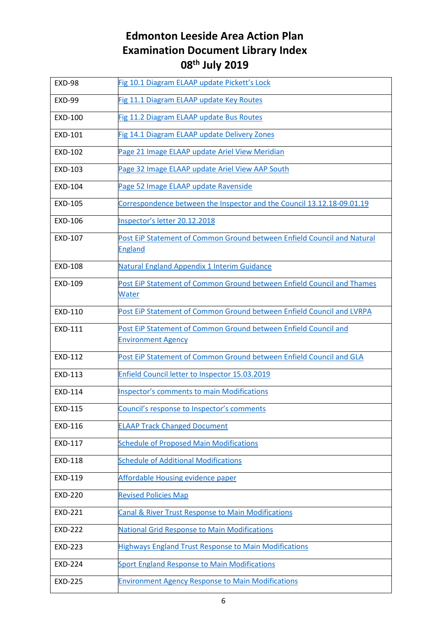| <b>EXD-98</b>  | Fig 10.1 Diagram ELAAP update Pickett's Lock                                                 |
|----------------|----------------------------------------------------------------------------------------------|
| <b>EXD-99</b>  | Fig 11.1 Diagram ELAAP update Key Routes                                                     |
| EXD-100        | Fig 11.2 Diagram ELAAP update Bus Routes                                                     |
| EXD-101        | Fig 14.1 Diagram ELAAP update Delivery Zones                                                 |
| EXD-102        | Page 21 Image ELAAP update Ariel View Meridian                                               |
| EXD-103        | Page 32 Image ELAAP update Ariel View AAP South                                              |
| EXD-104        | Page 52 Image ELAAP update Ravenside                                                         |
| EXD-105        | Correspondence between the Inspector and the Council 13.12.18-09.01.19                       |
| EXD-106        | Inspector's letter 20.12.2018                                                                |
| EXD-107        | Post EiP Statement of Common Ground between Enfield Council and Natural<br><b>England</b>    |
| <b>EXD-108</b> | Natural England Appendix 1 Interim Guidance                                                  |
| EXD-109        | Post EiP Statement of Common Ground between Enfield Council and Thames<br>Water              |
| EXD-110        | Post EiP Statement of Common Ground between Enfield Council and LVRPA                        |
| EXD-111        | Post EiP Statement of Common Ground between Enfield Council and<br><b>Environment Agency</b> |
| EXD-112        | Post EiP Statement of Common Ground between Enfield Council and GLA                          |
| EXD-113        | Enfield Council letter to Inspector 15.03.2019                                               |
| EXD-114        | <b>Inspector's comments to main Modifications</b>                                            |
| EXD-115        | Council's response to Inspector's comments                                                   |
| EXD-116        | <b>ELAAP Track Changed Document</b>                                                          |
| EXD-117        | <b>Schedule of Proposed Main Modifications</b>                                               |
| EXD-118        | <b>Schedule of Additional Modifications</b>                                                  |
| EXD-119        | Affordable Housing evidence paper                                                            |
| <b>EXD-220</b> | <b>Revised Policies Map</b>                                                                  |
| <b>EXD-221</b> | <b>Canal &amp; River Trust Response to Main Modifications</b>                                |
| <b>EXD-222</b> | <b>National Grid Response to Main Modifications</b>                                          |
| <b>EXD-223</b> | <b>Highways England Trust Response to Main Modifications</b>                                 |
| <b>EXD-224</b> | <b>Sport England Response to Main Modifications</b>                                          |
| <b>EXD-225</b> | <b>Environment Agency Response to Main Modifications</b>                                     |